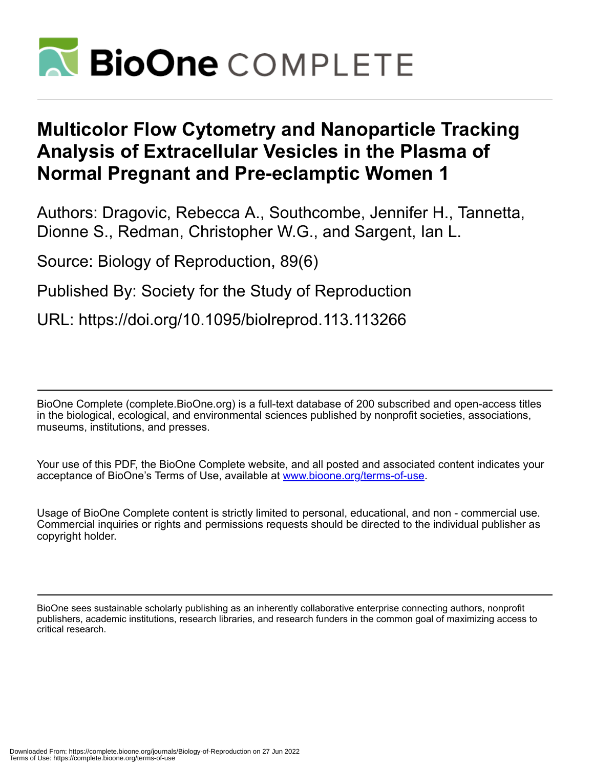

# **Multicolor Flow Cytometry and Nanoparticle Tracking Analysis of Extracellular Vesicles in the Plasma of Normal Pregnant and Pre-eclamptic Women 1**

Authors: Dragovic, Rebecca A., Southcombe, Jennifer H., Tannetta, Dionne S., Redman, Christopher W.G., and Sargent, Ian L.

Source: Biology of Reproduction, 89(6)

Published By: Society for the Study of Reproduction

URL: https://doi.org/10.1095/biolreprod.113.113266

BioOne Complete (complete.BioOne.org) is a full-text database of 200 subscribed and open-access titles in the biological, ecological, and environmental sciences published by nonprofit societies, associations, museums, institutions, and presses.

Your use of this PDF, the BioOne Complete website, and all posted and associated content indicates your acceptance of BioOne's Terms of Use, available at www.bioone.org/terms-of-use.

Usage of BioOne Complete content is strictly limited to personal, educational, and non - commercial use. Commercial inquiries or rights and permissions requests should be directed to the individual publisher as copyright holder.

BioOne sees sustainable scholarly publishing as an inherently collaborative enterprise connecting authors, nonprofit publishers, academic institutions, research libraries, and research funders in the common goal of maximizing access to critical research.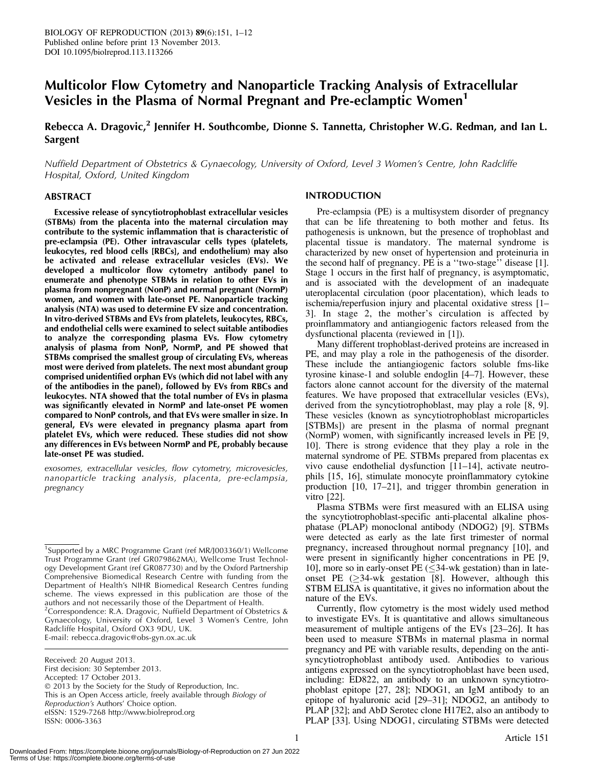# Multicolor Flow Cytometry and Nanoparticle Tracking Analysis of Extracellular Vesicles in the Plasma of Normal Pregnant and Pre-eclamptic Women<sup>1</sup>

# Rebecca A. Dragovic,<sup>2</sup> Jennifer H. Southcombe, Dionne S. Tannetta, Christopher W.G. Redman, and Ian L. Sargent

Nuffield Department of Obstetrics & Gynaecology, University of Oxford, Level 3 Women's Centre, John Radcliffe Hospital, Oxford, United Kingdom

# ABSTRACT

Excessive release of syncytiotrophoblast extracellular vesicles (STBMs) from the placenta into the maternal circulation may contribute to the systemic inflammation that is characteristic of pre-eclampsia (PE). Other intravascular cells types (platelets, leukocytes, red blood cells [RBCs], and endothelium) may also be activated and release extracellular vesicles (EVs). We developed a multicolor flow cytometry antibody panel to enumerate and phenotype STBMs in relation to other EVs in plasma from nonpregnant (NonP) and normal pregnant (NormP) women, and women with late-onset PE. Nanoparticle tracking analysis (NTA) was used to determine EV size and concentration. In vitro-derived STBMs and EVs from platelets, leukocytes, RBCs, and endothelial cells were examined to select suitable antibodies to analyze the corresponding plasma EVs. Flow cytometry analysis of plasma from NonP, NormP, and PE showed that STBMs comprised the smallest group of circulating EVs, whereas most were derived from platelets. The next most abundant group comprised unidentified orphan EVs (which did not label with any of the antibodies in the panel), followed by EVs from RBCs and leukocytes. NTA showed that the total number of EVs in plasma was significantly elevated in NormP and late-onset PE women compared to NonP controls, and that EVs were smaller in size. In general, EVs were elevated in pregnancy plasma apart from platelet EVs, which were reduced. These studies did not show any differences in EVs between NormP and PE, probably because late-onset PE was studied.

exosomes, extracellular vesicles, flow cytometry, microvesicles, nanoparticle tracking analysis, placenta, pre-eclampsia, pregnancy

<sup>2</sup> Correspondence: R.A. Dragovic, Nuffield Department of Obstetrics & Gynaecology, University of Oxford, Level 3 Women's Centre, John Radcliffe Hospital, Oxford OX3 9DU, UK. E-mail: rebecca.dragovic@obs-gyn.ox.ac.uk

Received: 20 August 2013. First decision: 30 September 2013. Accepted: 17 October 2013. - 2013 by the Society for the Study of Reproduction, Inc. This is an Open Access article, freely available through Biology of Reproduction's Authors' Choice option. eISSN: 1529-7268 http://www.biolreprod.org ISSN: 0006-3363

# INTRODUCTION

Pre-eclampsia (PE) is a multisystem disorder of pregnancy that can be life threatening to both mother and fetus. Its pathogenesis is unknown, but the presence of trophoblast and placental tissue is mandatory. The maternal syndrome is characterized by new onset of hypertension and proteinuria in the second half of pregnancy. PE is a "two-stage" disease [1]. Stage 1 occurs in the first half of pregnancy, is asymptomatic, and is associated with the development of an inadequate uteroplacental circulation (poor placentation), which leads to ischemia/reperfusion injury and placental oxidative stress [1– 3]. In stage 2, the mother's circulation is affected by proinflammatory and antiangiogenic factors released from the dysfunctional placenta (reviewed in [1]).

Many different trophoblast-derived proteins are increased in PE, and may play a role in the pathogenesis of the disorder. These include the antiangiogenic factors soluble fms-like tyrosine kinase-1 and soluble endoglin [4–7]. However, these factors alone cannot account for the diversity of the maternal features. We have proposed that extracellular vesicles (EVs), derived from the syncytiotrophoblast, may play a role [8, 9]. These vesicles (known as syncytiotrophoblast microparticles [STBMs]) are present in the plasma of normal pregnant (NormP) women, with significantly increased levels in PE [9, 10]. There is strong evidence that they play a role in the maternal syndrome of PE. STBMs prepared from placentas ex vivo cause endothelial dysfunction [11–14], activate neutrophils [15, 16], stimulate monocyte proinflammatory cytokine production [10, 17–21], and trigger thrombin generation in vitro [22].

Plasma STBMs were first measured with an ELISA using the syncytiotrophoblast-specific anti-placental alkaline phosphatase (PLAP) monoclonal antibody (NDOG2) [9]. STBMs were detected as early as the late first trimester of normal pregnancy, increased throughout normal pregnancy [10], and were present in significantly higher concentrations in PE [9, 10], more so in early-onset PE  $(\leq)$ 34-wk gestation) than in lateonset PE  $(>34$ -wk gestation [8]. However, although this STBM ELISA is quantitative, it gives no information about the nature of the EVs.

Currently, flow cytometry is the most widely used method to investigate EVs. It is quantitative and allows simultaneous measurement of multiple antigens of the EVs [23–26]. It has been used to measure STBMs in maternal plasma in normal pregnancy and PE with variable results, depending on the antisyncytiotrophoblast antibody used. Antibodies to various antigens expressed on the syncytiotrophoblast have been used, including: ED822, an antibody to an unknown syncytiotrophoblast epitope [27, 28]; NDOG1, an IgM antibody to an epitope of hyaluronic acid [29–31]; NDOG2, an antibody to PLAP [32]; and AbD Serotec clone H17E2, also an antibody to PLAP [33]. Using NDOG1, circulating STBMs were detected

<sup>&</sup>lt;sup>1</sup>Supported by a MRC Programme Grant (ref MR/J003360/1) Wellcome Trust Programme Grant (ref GR079862MA), Wellcome Trust Technology Development Grant (ref GR087730) and by the Oxford Partnership Comprehensive Biomedical Research Centre with funding from the Department of Health's NIHR Biomedical Research Centres funding scheme. The views expressed in this publication are those of the authors and not necessarily those of the Department of Health.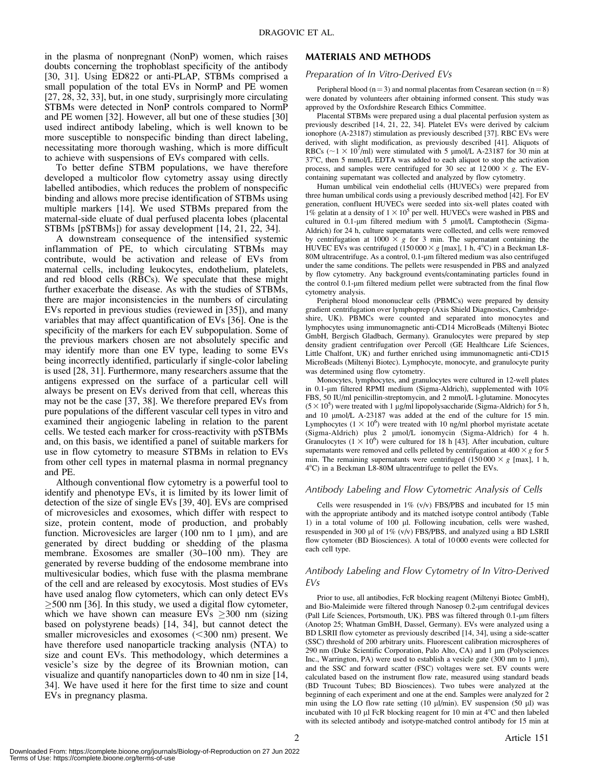in the plasma of nonpregnant (NonP) women, which raises doubts concerning the trophoblast specificity of the antibody [30, 31]. Using ED822 or anti-PLAP, STBMs comprised a small population of the total EVs in NormP and PE women [27, 28, 32, 33], but, in one study, surprisingly more circulating STBMs were detected in NonP controls compared to NormP and PE women [32]. However, all but one of these studies [30] used indirect antibody labeling, which is well known to be more susceptible to nonspecific binding than direct labeling, necessitating more thorough washing, which is more difficult to achieve with suspensions of EVs compared with cells.

To better define STBM populations, we have therefore developed a multicolor flow cytometry assay using directly labelled antibodies, which reduces the problem of nonspecific binding and allows more precise identification of STBMs using multiple markers [14]. We used STBMs prepared from the maternal-side eluate of dual perfused placenta lobes (placental STBMs [pSTBMs]) for assay development [14, 21, 22, 34].

A downstream consequence of the intensified systemic inflammation of PE, to which circulating STBMs may contribute, would be activation and release of EVs from maternal cells, including leukocytes, endothelium, platelets, and red blood cells (RBCs). We speculate that these might further exacerbate the disease. As with the studies of STBMs, there are major inconsistencies in the numbers of circulating EVs reported in previous studies (reviewed in [35]), and many variables that may affect quantification of EVs [36]. One is the specificity of the markers for each EV subpopulation. Some of the previous markers chosen are not absolutely specific and may identify more than one EV type, leading to some EVs being incorrectly identified, particularly if single-color labeling is used [28, 31]. Furthermore, many researchers assume that the antigens expressed on the surface of a particular cell will always be present on EVs derived from that cell, whereas this may not be the case [37, 38]. We therefore prepared EVs from pure populations of the different vascular cell types in vitro and examined their angiogenic labeling in relation to the parent cells. We tested each marker for cross-reactivity with pSTBMs and, on this basis, we identified a panel of suitable markers for use in flow cytometry to measure STBMs in relation to EVs from other cell types in maternal plasma in normal pregnancy and PE.

Although conventional flow cytometry is a powerful tool to identify and phenotype EVs, it is limited by its lower limit of detection of the size of single EVs [39, 40]. EVs are comprised of microvesicles and exosomes, which differ with respect to size, protein content, mode of production, and probably function. Microvesicles are larger  $(100 \text{ nm to } 1 \text{ µm})$ , and are generated by direct budding or shedding of the plasma membrane. Exosomes are smaller (30–100 nm). They are generated by reverse budding of the endosome membrane into multivesicular bodies, which fuse with the plasma membrane of the cell and are released by exocytosis. Most studies of EVs have used analog flow cytometers, which can only detect EVs  $>$  500 nm [36]. In this study, we used a digital flow cytometer, which we have shown can measure EVs  $>300$  nm (sizing based on polystyrene beads) [14, 34], but cannot detect the smaller microvesicles and exosomes  $( $300 \text{ nm}$ ) present. We$ have therefore used nanoparticle tracking analysis (NTA) to size and count EVs. This methodology, which determines a vesicle's size by the degree of its Brownian motion, can visualize and quantify nanoparticles down to 40 nm in size [14, 34]. We have used it here for the first time to size and count EVs in pregnancy plasma.

#### MATERIALS AND METHODS

#### Preparation of In Vitro-Derived EVs

Peripheral blood (n = 3) and normal placentas from Cesarean section (n = 8) were donated by volunteers after obtaining informed consent. This study was approved by the Oxfordshire Research Ethics Committee.

Placental STBMs were prepared using a dual placental perfusion system as previously described [14, 21, 22, 34]. Platelet EVs were derived by calcium ionophore (A-23187) stimulation as previously described [37]. RBC EVs were derived, with slight modification, as previously described [41]. Aliquots of RBCs ( $\sim$ 1  $\times$  10<sup>7</sup>/ml) were stimulated with 5 µmol/L A-23187 for 30 min at 37°C, then 5 mmol/L EDTA was added to each aliquot to stop the activation process, and samples were centrifuged for 30 sec at  $12000 \times g$ . The EVcontaining supernatant was collected and analyzed by flow cytometry.

Human umbilical vein endothelial cells (HUVECs) were prepared from three human umbilical cords using a previously described method [42]. For EV generation, confluent HUVECs were seeded into six-well plates coated with 1% gelatin at a density of  $1 \times 10^5$  per well. HUVECs were washed in PBS and cultured in  $0.1$ -µm filtered medium with 5 µmol/L Camptothecin (Sigma-Aldrich) for 24 h, culture supernatants were collected, and cells were removed by centrifugation at  $1000 \times g$  for 3 min. The supernatant containing the HUVEC EVs was centrifuged (150 000  $\times$  g [max], 1 h, 4°C) in a Beckman L8-80M ultracentrifuge. As a control,  $0.1$ - $\mu$ m filtered medium was also centrifuged under the same conditions. The pellets were resuspended in PBS and analyzed by flow cytometry. Any background events/contaminating particles found in the control 0.1-um filtered medium pellet were subtracted from the final flow cytometry analysis.

Peripheral blood mononuclear cells (PBMCs) were prepared by density gradient centrifugation over lymphoprep (Axis Shield Diagnostics, Cambridgeshire, UK). PBMCs were counted and separated into monocytes and lymphocytes using immunomagnetic anti-CD14 MicroBeads (Miltenyi Biotec GmbH, Bergisch Gladbach, Germany). Granulocytes were prepared by step density gradient centrifugation over Percoll (GE Healthcare Life Sciences, Little Chalfont, UK) and further enriched using immunomagnetic anti-CD15 MicroBeads (Miltenyi Biotec). Lymphocyte, monocyte, and granulocyte purity was determined using flow cytometry.

Monocytes, lymphocytes, and granulocytes were cultured in 12-well plates in 0.1-um filtered RPMI medium (Sigma-Aldrich), supplemented with 10% FBS, 50 IU/ml penicillin-streptomycin, and 2 mmol/L l-glutamine. Monocytes  $(5 \times 10^5)$  were treated with 1 µg/ml lipopolysaccharide (Sigma-Aldrich) for 5 h, and 10 umol/L A-23187 was added at the end of the culture for 15 min. Lymphocytes  $(1 \times 10^6)$  were treated with 10 ng/ml phorbol myristate acetate (Sigma-Aldrich) plus 2 µmol/L ionomycin (Sigma-Aldrich) for 4 h. Granulocytes ( $1 \times 10^6$ ) were cultured for 18 h [43]. After incubation, culture supernatants were removed and cells pelleted by centrifugation at  $400 \times g$  for 5 min. The remaining supernatants were centrifuged (150 000  $\times$  g [max], 1 h, 4°C) in a Beckman L8-80M ultracentrifuge to pellet the EVs.

#### Antibody Labeling and Flow Cytometric Analysis of Cells

Cells were resuspended in  $1\%$  (v/v) FBS/PBS and incubated for 15 min with the appropriate antibody and its matched isotype control antibody (Table 1) in a total volume of 100 µl. Following incubation, cells were washed, resuspended in 300  $\mu$ l of 1% (v/v) FBS/PBS, and analyzed using a BD LSRII flow cytometer (BD Biosciences). A total of 10 000 events were collected for each cell type.

# Antibody Labeling and Flow Cytometry of In Vitro-Derived EVs

Prior to use, all antibodies, FcR blocking reagent (Miltenyi Biotec GmbH), and Bio-Maleimide were filtered through Nanosep 0.2-um centrifugal devices (Pall Life Sciences, Portsmouth, UK). PBS was filtered through 0.1-um filters (Anotop 25; Whatman GmBH, Dassel, Germany). EVs were analyzed using a BD LSRII flow cytometer as previously described [14, 34], using a side-scatter (SSC) threshold of 200 arbitrary units. Fluorescent calibration microspheres of 290 nm (Duke Scientific Corporation, Palo Alto, CA) and 1 µm (Polysciences Inc., Warrington, PA) were used to establish a vesicle gate  $(300 \text{ nm to } 1 \text{ µm})$ , and the SSC and forward scatter (FSC) voltages were set. EV counts were calculated based on the instrument flow rate, measured using standard beads (BD Trucount Tubes; BD Biosciences). Two tubes were analyzed at the beginning of each experiment and one at the end. Samples were analyzed for 2 min using the LO flow rate setting  $(10 \mu l/min)$ . EV suspension  $(50 \mu l)$  was incubated with 10  $\mu$ I FcR blocking reagent for 10 min at 4 $\rm{°C}$  and then labeled with its selected antibody and isotype-matched control antibody for 15 min at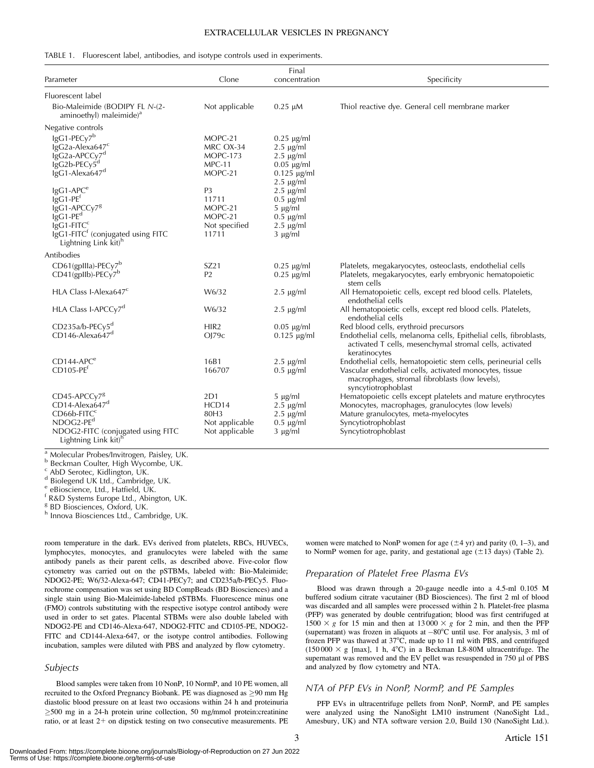# EXTRACELLULAR VESICLES IN PREGNANCY

#### TABLE 1. Fluorescent label, antibodies, and isotype controls used in experiments.

| Parameter                                                                                       | Clone                            | Final<br>concentration                                  | Specificity                                                                                                                                                                                        |  |  |  |  |
|-------------------------------------------------------------------------------------------------|----------------------------------|---------------------------------------------------------|----------------------------------------------------------------------------------------------------------------------------------------------------------------------------------------------------|--|--|--|--|
| Fluorescent label                                                                               |                                  |                                                         |                                                                                                                                                                                                    |  |  |  |  |
| Bio-Maleimide (BODIPY FL N-(2-<br>aminoethyl) maleimide) <sup>a</sup>                           | Not applicable                   | $0.25 \mu M$                                            | Thiol reactive dye. General cell membrane marker                                                                                                                                                   |  |  |  |  |
| Negative controls                                                                               |                                  |                                                         |                                                                                                                                                                                                    |  |  |  |  |
| $lgG1-PECy7b$<br>lgG2a-Alexa647 <sup>c</sup>                                                    | MOPC-21<br>MRC OX-34             | $0.25 \mu g/ml$<br>$2.5 \mu g/ml$                       |                                                                                                                                                                                                    |  |  |  |  |
| lgG2a-APCCy7 <sup>d</sup>                                                                       | <b>MOPC-173</b>                  | $2.5 \mu g/ml$                                          |                                                                                                                                                                                                    |  |  |  |  |
| lgG2b-PECy5 <sup>d</sup><br>$lgG1-Alexa647d$                                                    | $MPC-11$<br>MOPC-21              | $0.05 \mu g/ml$<br>$0.125$ $\mu$ g/ml<br>$2.5 \mu g/ml$ |                                                                                                                                                                                                    |  |  |  |  |
| $lgG1-APCe$<br>$lgG1-PEf$                                                                       | P <sub>3</sub><br>11711          | $2.5 \mu g/ml$<br>$0.5 \mu g/ml$                        |                                                                                                                                                                                                    |  |  |  |  |
| lgG1-APCCy7 <sup>8</sup><br>$lgG1-PEd$                                                          | MOPC-21<br>MOPC-21               | $5 \mu g/ml$<br>$0.5 \mu g/ml$                          |                                                                                                                                                                                                    |  |  |  |  |
| IgG1-FITCC<br>IgG1-FITC <sup>f</sup> (conjugated using FITC<br>Lightning Link kit) <sup>h</sup> | Not specified<br>11711           | $2.5 \mu g/ml$<br>$3 \mu g/ml$                          |                                                                                                                                                                                                    |  |  |  |  |
| Antibodies                                                                                      |                                  |                                                         |                                                                                                                                                                                                    |  |  |  |  |
| CD61(gpIIIa)-PECy7 <sup>b</sup><br>CD41(gpllb)-PECy7b                                           | SZ21<br>P <sub>2</sub>           | $0.25 \mu g/ml$<br>$0.25 \mu g/ml$                      | Platelets, megakaryocytes, osteoclasts, endothelial cells<br>Platelets, megakaryocytes, early embryonic hematopoietic                                                                              |  |  |  |  |
| HLA Class I-Alexa647 $\textdegree$                                                              | W6/32                            | $2.5 \mu g/ml$                                          | stem cells<br>All Hematopoietic cells, except red blood cells. Platelets,<br>endothelial cells                                                                                                     |  |  |  |  |
| HLA Class I-APCCy7 <sup>d</sup>                                                                 | W6/32                            | $2.5 \mu g/ml$                                          | All hematopoietic cells, except red blood cells. Platelets,<br>endothelial cells                                                                                                                   |  |  |  |  |
| $CD235a/b-PECy5d$                                                                               | HIR <sub>2</sub>                 | $0.05 \mu g/ml$                                         | Red blood cells, erythroid precursors                                                                                                                                                              |  |  |  |  |
| $CD146$ -Alexa647 <sup>d</sup>                                                                  | $O$  79 $c$                      | $0.125 \text{ µg/ml}$                                   | Endothelial cells, melanoma cells, Epithelial cells, fibroblasts,<br>activated T cells, mesenchymal stromal cells, activated<br>keratinocytes                                                      |  |  |  |  |
| $CD144-APCe$<br>$CD105-PEf$                                                                     | 16B1<br>166707                   | $2.5 \mu g/ml$<br>$0.5 \mu g/ml$                        | Endothelial cells, hematopoietic stem cells, perineurial cells<br>Vascular endothelial cells, activated monocytes, tissue<br>macrophages, stromal fibroblasts (low levels),<br>syncytiotrophoblast |  |  |  |  |
| CD45-APCCy7 <sup>8</sup>                                                                        | 2D1                              | $5 \mu g/ml$                                            | Hematopoietic cells except platelets and mature erythrocytes                                                                                                                                       |  |  |  |  |
| CD14-Alexa647 <sup>d</sup>                                                                      | HCD14                            | $2.5 \mu g/ml$                                          | Monocytes, macrophages, granulocytes (low levels)                                                                                                                                                  |  |  |  |  |
| $CD66b$ -FITC <sup>c</sup><br>NDOG2-PE <sup>d</sup>                                             | 80H3                             | $2.5 \mu g/ml$                                          | Mature granulocytes, meta-myelocytes                                                                                                                                                               |  |  |  |  |
| NDOG2-FITC (conjugated using FITC<br>Lightning Link kit) <sup>h</sup>                           | Not applicable<br>Not applicable | $0.5 \mu g/ml$<br>$3 \mu g/ml$                          | Syncytiotrophoblast<br>Syncytiotrophoblast                                                                                                                                                         |  |  |  |  |

<sup>a</sup> Molecular Probes/Invitrogen, Paisley, UK.  $^{6}$  Beckman Coulter, High Wycombe, UK.  $^{d}$  Biolegend UK Ltd., Cambridge, UK.  $^{6}$  Bioscience, Ltd., Hatfield, UK.  $^{6}$  R&D Systems Europe Ltd., Abington, UK.  $^{8}$  BD Bi

h Innova Biosciences Ltd., Cambridge, UK.

room temperature in the dark. EVs derived from platelets, RBCs, HUVECs, lymphocytes, monocytes, and granulocytes were labeled with the same antibody panels as their parent cells, as described above. Five-color flow cytometry was carried out on the pSTBMs, labeled with: Bio-Maleimide; NDOG2-PE; W6/32-Alexa-647; CD41-PECy7; and CD235a/b-PECy5. Fluorochrome compensation was set using BD CompBeads (BD Biosciences) and a single stain using Bio-Maleimide-labeled pSTBMs. Fluorescence minus one (FMO) controls substituting with the respective isotype control antibody were used in order to set gates. Placental STBMs were also double labeled with NDOG2-PE and CD146-Alexa-647, NDOG2-FITC and CD105-PE, NDOG2- FITC and CD144-Alexa-647, or the isotype control antibodies. Following

#### Subjects

Blood samples were taken from 10 NonP, 10 NormP, and 10 PE women, all recruited to the Oxford Pregnancy Biobank. PE was diagnosed as  $\geq$ 90 mm Hg diastolic blood pressure on at least two occasions within 24 h and proteinuria 500 mg in a 24-h protein urine collection, 50 mg/mmol protein:creatinine ratio, or at least  $2+$  on dipstick testing on two consecutive measurements. PE

incubation, samples were diluted with PBS and analyzed by flow cytometry.

women were matched to NonP women for age  $(\pm 4 \text{ yr})$  and parity (0, 1–3), and to NormP women for age, parity, and gestational age  $(\pm 13 \text{ days})$  (Table 2).

#### Preparation of Platelet Free Plasma EVs

Blood was drawn through a 20-gauge needle into a 4.5-ml 0.105 M buffered sodium citrate vacutainer (BD Biosciences). The first 2 ml of blood was discarded and all samples were processed within 2 h. Platelet-free plasma (PFP) was generated by double centrifugation; blood was first centrifuged at  $1500 \times g$  for 15 min and then at  $13000 \times g$  for 2 min, and then the PFP (supernatant) was frozen in aliquots at  $-80^{\circ}$ C until use. For analysis, 3 ml of frozen PFP was thawed at 37°C, made up to 11 ml with PBS, and centrifuged  $(150000 \times g$  [max], 1 h, 4°C) in a Beckman L8-80M ultracentrifuge. The supernatant was removed and the EV pellet was resuspended in 750 µl of PBS and analyzed by flow cytometry and NTA.

#### NTA of PFP EVs in NonP, NormP, and PE Samples

PFP EVs in ultracentrifuge pellets from NonP, NormP, and PE samples were analyzed using the NanoSight LM10 instrument (NanoSight Ltd., Amesbury, UK) and NTA software version 2.0, Build 130 (NanoSight Ltd.).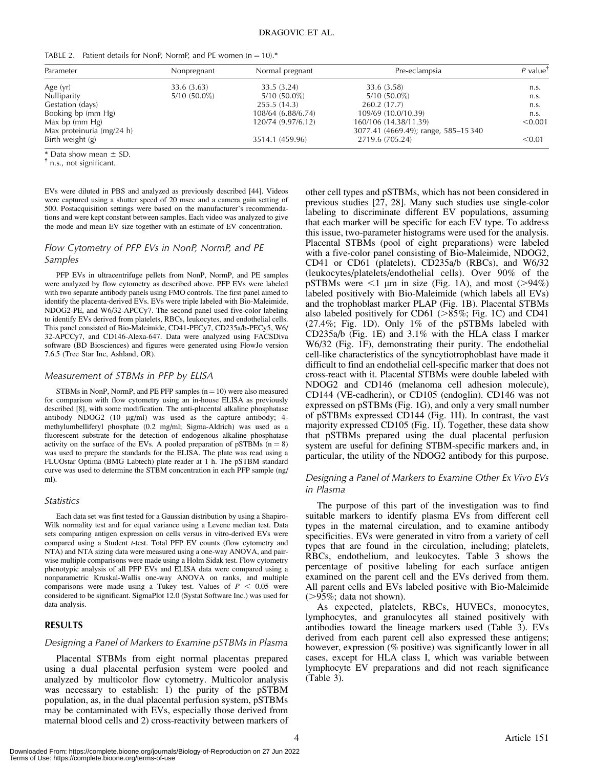| TABLE 2. Patient details for NonP, NormP, and PE women $(n = 10)^*$ |  |  |  |  |
|---------------------------------------------------------------------|--|--|--|--|
|---------------------------------------------------------------------|--|--|--|--|

| Parameter                 | Nonpregnant    | Normal pregnant    | Pre-eclampsia                       | P value <sup>†</sup> |
|---------------------------|----------------|--------------------|-------------------------------------|----------------------|
| Age $(yr)$                | 33.6(3.63)     | 33.5(3.24)         | 33.6 (3.58)                         | n.s.                 |
| Nulliparity               | $5/10(50.0\%)$ | $5/10(50.0\%)$     | $5/10(50.0\%)$                      | n.s.                 |
| Gestation (days)          |                | 255.5(14.3)        | 260.2 (17.7)                        | n.s.                 |
| Booking bp (mm Hg)        |                | 108/64 (6.88/6.74) | 109/69 (10.0/10.39)                 | n.s.                 |
| Max bp (mm $Hg$ )         |                | 120/74 (9.97/6.12) | 160/106 (14.38/11.39)               | < 0.001              |
| Max proteinuria (mg/24 h) |                |                    | 3077.41 (4669.49); range, 585-15340 |                      |
| Birth weight (g)          |                | 3514.1 (459.96)    | 2719.6 (705.24)                     | < 0.01               |

 $*$  Data show mean  $+$  SD.

- n.s., not significant.

EVs were diluted in PBS and analyzed as previously described [44]. Videos were captured using a shutter speed of 20 msec and a camera gain setting of 500. Postacquisition settings were based on the manufacturer's recommendations and were kept constant between samples. Each video was analyzed to give the mode and mean EV size together with an estimate of EV concentration.

# Flow Cytometry of PFP EVs in NonP, NormP, and PE Samples

PFP EVs in ultracentrifuge pellets from NonP, NormP, and PE samples were analyzed by flow cytometry as described above. PFP EVs were labeled with two separate antibody panels using FMO controls. The first panel aimed to identify the placenta-derived EVs. EVs were triple labeled with Bio-Maleimide, NDOG2-PE, and W6/32-APCCy7. The second panel used five-color labeling to identify EVs derived from platelets, RBCs, leukocytes, and endothelial cells. This panel consisted of Bio-Maleimide, CD41-PECy7, CD235a/b-PECy5, W6/ 32-APCCy7, and CD146-Alexa-647. Data were analyzed using FACSDiva software (BD Biosciences) and figures were generated using FlowJo version 7.6.5 (Tree Star Inc, Ashland, OR).

#### Measurement of STBMs in PFP by ELISA

STBMs in NonP, NormP, and PE PFP samples  $(n = 10)$  were also measured for comparison with flow cytometry using an in-house ELISA as previously described [8], with some modification. The anti-placental alkaline phosphatase antibody NDOG2 (10  $\mu$ g/ml) was used as the capture antibody; 4methylumbelliferyl phosphate (0.2 mg/ml; Sigma-Aldrich) was used as a fluorescent substrate for the detection of endogenous alkaline phosphatase activity on the surface of the EVs. A pooled preparation of  $pSTBMs$  ( $n = 8$ ) was used to prepare the standards for the ELISA. The plate was read using a FLUOstar Optima (BMG Labtech) plate reader at 1 h. The pSTBM standard curve was used to determine the STBM concentration in each PFP sample (ng/ ml).

#### **Statistics**

Each data set was first tested for a Gaussian distribution by using a Shapiro-Wilk normality test and for equal variance using a Levene median test. Data sets comparing antigen expression on cells versus in vitro-derived EVs were compared using a Student t-test. Total PFP EV counts (flow cytometry and NTA) and NTA sizing data were measured using a one-way ANOVA, and pairwise multiple comparisons were made using a Holm Sidak test. Flow cytometry phenotypic analysis of all PFP EVs and ELISA data were compared using a nonparametric Kruskal-Wallis one-way ANOVA on ranks, and multiple comparisons were made using a Tukey test. Values of  $P < 0.05$  were considered to be significant. SigmaPlot 12.0 (Systat Software Inc.) was used for data analysis.

# RESULTS

#### Designing a Panel of Markers to Examine pSTBMs in Plasma

Placental STBMs from eight normal placentas prepared using a dual placental perfusion system were pooled and analyzed by multicolor flow cytometry. Multicolor analysis was necessary to establish: 1) the purity of the pSTBM population, as, in the dual placental perfusion system, pSTBMs may be contaminated with EVs, especially those derived from maternal blood cells and 2) cross-reactivity between markers of other cell types and pSTBMs, which has not been considered in previous studies [27, 28]. Many such studies use single-color labeling to discriminate different EV populations, assuming that each marker will be specific for each EV type. To address this issue, two-parameter histograms were used for the analysis. Placental STBMs (pool of eight preparations) were labeled with a five-color panel consisting of Bio-Maleimide, NDOG2, CD41 or CD61 (platelets), CD235a/b (RBCs), and W6/32 (leukocytes/platelets/endothelial cells). Over 90% of the pSTBMs were  $\leq 1$  µm in size (Fig. 1A), and most ( $>94\%$ ) labeled positively with Bio-Maleimide (which labels all EVs) and the trophoblast marker PLAP (Fig. 1B). Placental STBMs also labeled positively for CD61 ( $>85\%$ ; Fig. 1C) and CD41 (27.4%; Fig. 1D). Only 1% of the pSTBMs labeled with CD235a/b (Fig. 1E) and 3.1% with the HLA class I marker W6/32 (Fig. 1F), demonstrating their purity. The endothelial cell-like characteristics of the syncytiotrophoblast have made it difficult to find an endothelial cell-specific marker that does not cross-react with it. Placental STBMs were double labeled with NDOG2 and CD146 (melanoma cell adhesion molecule), CD144 (VE-cadherin), or CD105 (endoglin). CD146 was not expressed on pSTBMs (Fig. 1G), and only a very small number of pSTBMs expressed CD144 (Fig. 1H). In contrast, the vast majority expressed CD105 (Fig. 1I). Together, these data show that pSTBMs prepared using the dual placental perfusion system are useful for defining STBM-specific markers and, in particular, the utility of the NDOG2 antibody for this purpose.

# Designing a Panel of Markers to Examine Other Ex Vivo EVs in Plasma

The purpose of this part of the investigation was to find suitable markers to identify plasma EVs from different cell types in the maternal circulation, and to examine antibody specificities. EVs were generated in vitro from a variety of cell types that are found in the circulation, including; platelets, RBCs, endothelium, and leukocytes. Table 3 shows the percentage of positive labeling for each surface antigen examined on the parent cell and the EVs derived from them. All parent cells and EVs labeled positive with Bio-Maleimide  $($ >95%; data not shown).

As expected, platelets, RBCs, HUVECs, monocytes, lymphocytes, and granulocytes all stained positively with antibodies toward the lineage markers used (Table 3). EVs derived from each parent cell also expressed these antigens; however, expression (% positive) was significantly lower in all cases, except for HLA class I, which was variable between lymphocyte EV preparations and did not reach significance (Table 3).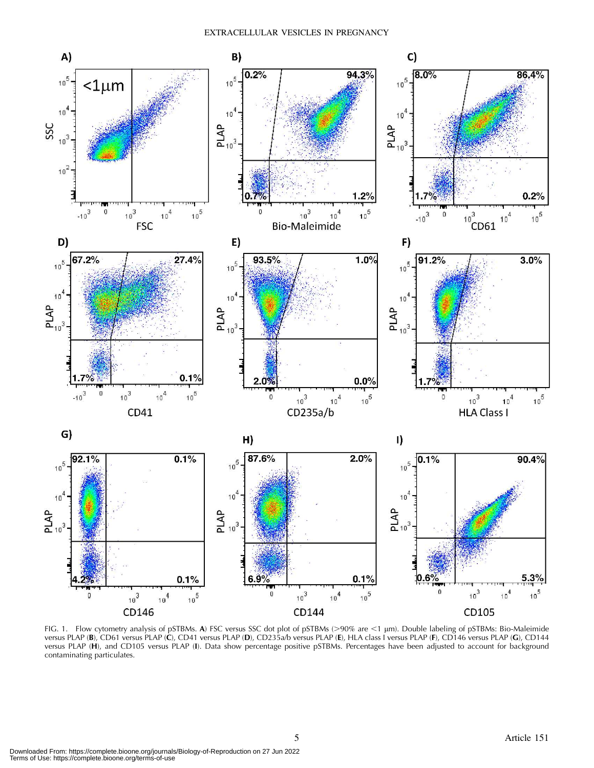

FIG. 1. Flow cytometry analysis of pSTBMs. A) FSC versus SSC dot plot of pSTBMs (>90% are <1 µm). Double labeling of pSTBMs: Bio-Maleimide versus PLAP (B), CD61 versus PLAP (C), CD41 versus PLAP (D), CD235a/b versus PLAP (E), HLA class I versus PLAP (F), CD146 versus PLAP (G), CD144 versus PLAP (H), and CD105 versus PLAP (I). Data show percentage positive pSTBMs. Percentages have been adjusted to account for background contaminating particulates.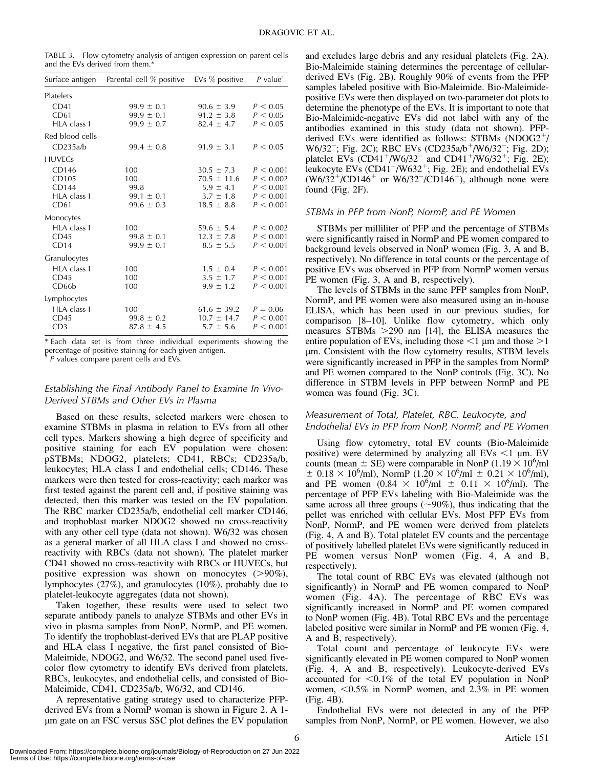| TABLE 3. Flow cytometry analysis of antigen expression on parent cells |  |  |  |
|------------------------------------------------------------------------|--|--|--|
| and the EVs derived from them.*                                        |  |  |  |

| Surface antigen                                | Parental cell % positive                               | EVs % positive                                                                        | $P$ value <sup>†</sup>                                        |
|------------------------------------------------|--------------------------------------------------------|---------------------------------------------------------------------------------------|---------------------------------------------------------------|
| Platelets                                      |                                                        |                                                                                       |                                                               |
| CD41<br>CD61<br>HLA class I                    | $99.9 \pm 0.1$<br>$99.9 \pm 0.1$<br>$99.9 \pm 0.7$     | $90.6 \pm 3.9$<br>$91.2 \pm 3.8$<br>$82.4 \pm 4.7$                                    | P < 0.05<br>P < 0.05<br>P < 0.05                              |
| Red blood cells                                |                                                        |                                                                                       |                                                               |
| CD235a/b                                       | $99.4 \pm 0.8$                                         | $91.9 \pm 3.1$                                                                        | P < 0.05                                                      |
| <b>HUVECs</b>                                  |                                                        |                                                                                       |                                                               |
| CD146<br>CD105<br>CD144<br>HLA class I<br>CD61 | 100<br>100<br>99.8<br>$99.1 \pm 0.1$<br>$99.6 \pm 0.3$ | $30.5 \pm 7.3$<br>$70.5 \pm 11.6$<br>$5.9 \pm 4.1$<br>$3.7 \pm 1.8$<br>$18.5 \pm 8.8$ | P < 0.001<br>P < 0.002<br>P < 0.001<br>P < 0.001<br>P < 0.001 |
| Monocytes                                      |                                                        |                                                                                       |                                                               |
| HLA class I<br>CD45<br>CD14                    | 100<br>$99.8 \pm 0.1$<br>$99.9 \pm 0.1$                | $59.6 \pm 5.4$<br>$12.3 \pm 7.8$<br>$8.5 \pm 5.5$                                     | P < 0.002<br>P < 0.001<br>P < 0.001                           |
| Granulocytes                                   |                                                        |                                                                                       |                                                               |
| HLA class I<br>CD45<br>CD <sub>66</sub> b      | 100<br>100<br>100                                      | $1.5 \pm 0.4$<br>$3.5 \pm 1.7$<br>$9.9 \pm 1.2$                                       | P < 0.001<br>P < 0.001<br>P < 0.001                           |
| Lymphocytes                                    |                                                        |                                                                                       |                                                               |
| HLA class I<br>CD45<br>CD3                     | 100<br>$99.8 \pm 0.2$<br>$87.8 \pm 4.5$                | $61.6 \pm 39.2$<br>$10.7 \pm 14.7$<br>$5.7 \pm 5.6$                                   | $P = 0.06$<br>P < 0.001<br>P < 0.001                          |

\* Each data set is from three individual experiments showing the percentage of positive staining for each given antigen.<br>Levelues compare parent cells and EVs.

P values compare parent cells and EVs.

# Establishing the Final Antibody Panel to Examine In Vivo-Derived STBMs and Other EVs in Plasma

Based on these results, selected markers were chosen to examine STBMs in plasma in relation to EVs from all other cell types. Markers showing a high degree of specificity and positive staining for each EV population were chosen: pSTBMs; NDOG2, platelets; CD41, RBCs; CD235a/b, leukocytes; HLA class I and endothelial cells; CD146. These markers were then tested for cross-reactivity; each marker was first tested against the parent cell and, if positive staining was detected, then this marker was tested on the EV population. The RBC marker CD235a/b, endothelial cell marker CD146, and trophoblast marker NDOG2 showed no cross-reactivity with any other cell type (data not shown). W6/32 was chosen as a general marker of all HLA class I and showed no crossreactivity with RBCs (data not shown). The platelet marker CD41 showed no cross-reactivity with RBCs or HUVECs, but positive expression was shown on monocytes  $(>\!\!90\%)$ , lymphocytes (27%), and granulocytes (10%), probably due to platelet-leukocyte aggregates (data not shown).

Taken together, these results were used to select two separate antibody panels to analyze STBMs and other EVs in vivo in plasma samples from NonP, NormP, and PE women. To identify the trophoblast-derived EVs that are PLAP positive and HLA class I negative, the first panel consisted of Bio-Maleimide, NDOG2, and W6/32. The second panel used fivecolor flow cytometry to identify EVs derived from platelets, RBCs, leukocytes, and endothelial cells, and consisted of Bio-Maleimide, CD41, CD235a/b, W6/32, and CD146.

A representative gating strategy used to characterize PFPderived EVs from a NormP woman is shown in Figure 2. A 1 lm gate on an FSC versus SSC plot defines the EV population and excludes large debris and any residual platelets (Fig. 2A). Bio-Maleimide staining determines the percentage of cellularderived EVs (Fig. 2B). Roughly 90% of events from the PFP samples labeled positive with Bio-Maleimide. Bio-Maleimidepositive EVs were then displayed on two-parameter dot plots to determine the phenotype of the EVs. It is important to note that Bio-Maleimide-negative EVs did not label with any of the antibodies examined in this study (data not shown). PFPderived EVs were identified as follows: STBMs  $(NDOG2<sup>+</sup>/)$  $W6/32^-$ ; Fig. 2C); RBC EVs (CD235a/b<sup>+</sup>/W6/32<sup>-</sup>; Fig. 2D); platelet EVs  $(CD41^{+}/W6/32^{-})$  and  $CD41^{+}/W6/32^{+}$ ; Fig. 2E); leukocyte EVs  $(CD41^-/W632^+; Fig. 2E)$ ; and endothelial EVs  $(W6/32^{+}/CD146^{+}$  or  $W6/32^{-}/CD146^{+})$ , although none were found (Fig. 2F).

# STBMs in PFP from NonP, NormP, and PE Women

STBMs per milliliter of PFP and the percentage of STBMs were significantly raised in NormP and PE women compared to background levels observed in NonP women (Fig. 3, A and B, respectively). No difference in total counts or the percentage of positive EVs was observed in PFP from NormP women versus PE women (Fig. 3, A and B, respectively).

The levels of STBMs in the same PFP samples from NonP, NormP, and PE women were also measured using an in-house ELISA, which has been used in our previous studies, for comparison [8–10]. Unlike flow cytometry, which only measures STBMs  $>290$  nm [14], the ELISA measures the entire population of EVs, including those  $\leq 1$  µm and those  $\geq 1$ lm. Consistent with the flow cytometry results, STBM levels were significantly increased in PFP in the samples from NormP and PE women compared to the NonP controls (Fig. 3C). No difference in STBM levels in PFP between NormP and PE women was found (Fig. 3C).

# Measurement of Total, Platelet, RBC, Leukocyte, and Endothelial EVs in PFP from NonP, NormP, and PE Women

Using flow cytometry, total EV counts (Bio-Maleimide positive) were determined by analyzing all EVs  $\leq$ 1 µm. EV counts (mean  $\pm$  SE) were comparable in NonP (1.19  $\times$  10<sup>6</sup>/ml  $\pm$  0.18  $\times$  10<sup>6</sup>/ml), NormP (1.20  $\times$  10<sup>6</sup>/ml  $\pm$  0.21  $\times$  10<sup>6</sup>/ml), and PE women  $(0.84 \times 10^6/\text{ml} \pm 0.11 \times 10^6/\text{ml})$ . The percentage of PFP EVs labeling with Bio-Maleimide was the same across all three groups  $(\sim 90\%)$ , thus indicating that the pellet was enriched with cellular EVs. Most PFP EVs from NonP, NormP, and PE women were derived from platelets (Fig. 4, A and B). Total platelet EV counts and the percentage of positively labelled platelet EVs were significantly reduced in PE women versus NonP women (Fig. 4, A and B, respectively).

The total count of RBC EVs was elevated (although not significantly) in NormP and PE women compared to NonP women (Fig. 4A). The percentage of RBC EVs was significantly increased in NormP and PE women compared to NonP women (Fig. 4B). Total RBC EVs and the percentage labeled positive were similar in NormP and PE women (Fig. 4, A and B, respectively).

Total count and percentage of leukocyte EVs were significantly elevated in PE women compared to NonP women (Fig. 4, A and B, respectively). Leukocyte-derived EVs accounted for  $\langle 0.1\%$  of the total EV population in NonP women,  $\langle 0.5\%$  in NormP women, and  $2.3\%$  in PE women (Fig. 4B).

Endothelial EVs were not detected in any of the PFP samples from NonP, NormP, or PE women. However, we also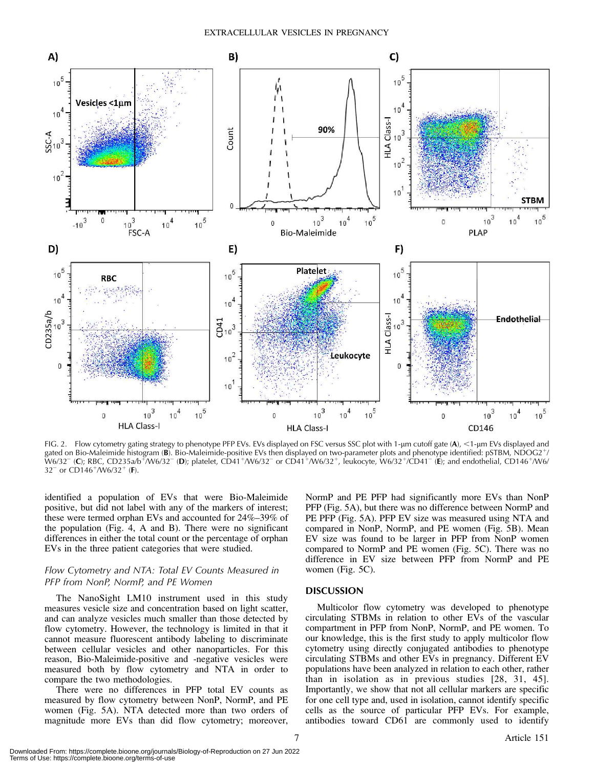

FIG. 2. Flow cytometry gating strategy to phenotype PFP EVs. EVs displayed on FSC versus SSC plot with 1-µm cutoff gate (A), <1-µm EVs displayed and gated on Bio-Maleimide histogram (B). Bio-Maleimide-positive EVs then displayed on two-parameter plots and phenotype identified: pSTBM, NDOG2<sup>+</sup>/ W6/32<sup>–</sup> (C); RBC, CD235a/b<sup>+</sup>/W6/32<sup>–</sup> (**D**); platelet, CD41<sup>+</sup>/W6/32<sup>–</sup> or CD41<sup>+</sup>/W6/32<sup>+</sup>, leukocyte, W6/32+/CD41<sup>–</sup> (E); and endothelial, CD146+/W6/  $32^-$  or CD146<sup>+</sup>/W6/32<sup>+</sup> (F).

identified a population of EVs that were Bio-Maleimide positive, but did not label with any of the markers of interest; these were termed orphan EVs and accounted for 24%–39% of the population (Fig. 4, A and B). There were no significant differences in either the total count or the percentage of orphan EVs in the three patient categories that were studied.

# Flow Cytometry and NTA: Total EV Counts Measured in PFP from NonP, NormP, and PE Women

The NanoSight LM10 instrument used in this study measures vesicle size and concentration based on light scatter, and can analyze vesicles much smaller than those detected by flow cytometry. However, the technology is limited in that it cannot measure fluorescent antibody labeling to discriminate between cellular vesicles and other nanoparticles. For this reason, Bio-Maleimide-positive and -negative vesicles were measured both by flow cytometry and NTA in order to compare the two methodologies.

There were no differences in PFP total EV counts as measured by flow cytometry between NonP, NormP, and PE women (Fig. 5A). NTA detected more than two orders of magnitude more EVs than did flow cytometry; moreover, NormP and PE PFP had significantly more EVs than NonP PFP (Fig. 5A), but there was no difference between NormP and PE PFP (Fig. 5A). PFP EV size was measured using NTA and compared in NonP, NormP, and PE women (Fig. 5B). Mean EV size was found to be larger in PFP from NonP women compared to NormP and PE women (Fig. 5C). There was no difference in EV size between PFP from NormP and PE women (Fig. 5C).

# DISCUSSION

Multicolor flow cytometry was developed to phenotype circulating STBMs in relation to other EVs of the vascular compartment in PFP from NonP, NormP, and PE women. To our knowledge, this is the first study to apply multicolor flow cytometry using directly conjugated antibodies to phenotype circulating STBMs and other EVs in pregnancy. Different EV populations have been analyzed in relation to each other, rather than in isolation as in previous studies [28, 31, 45]. Importantly, we show that not all cellular markers are specific for one cell type and, used in isolation, cannot identify specific cells as the source of particular PFP EVs. For example, antibodies toward CD61 are commonly used to identify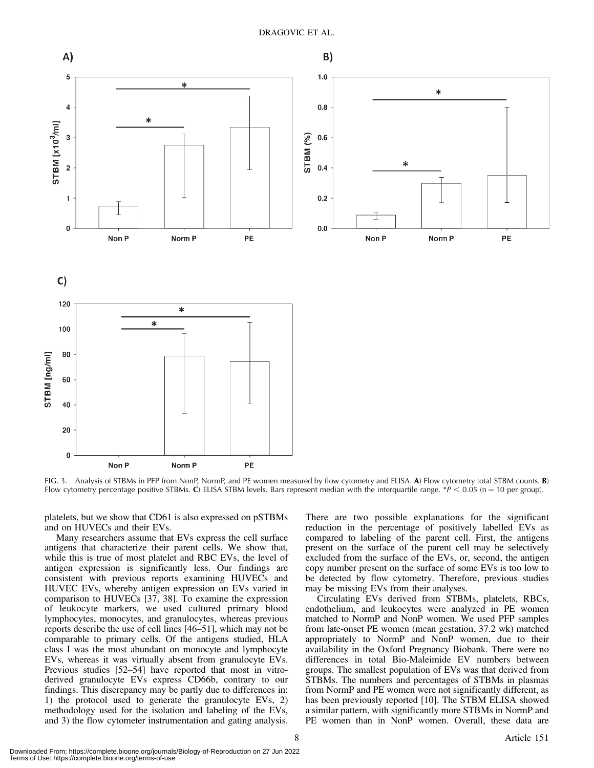

FIG. 3. Analysis of STBMs in PFP from NonP, NormP, and PE women measured by flow cytometry and ELISA. A) Flow cytometry total STBM counts. **B**) Flow cytometry percentage positive STBMs. C) ELISA STBM levels. Bars represent median with the interquartile range.  $*P < 0.05$  (n = 10 per group).

platelets, but we show that CD61 is also expressed on pSTBMs and on HUVECs and their EVs.

Many researchers assume that EVs express the cell surface antigens that characterize their parent cells. We show that, while this is true of most platelet and RBC EVs, the level of antigen expression is significantly less. Our findings are consistent with previous reports examining HUVECs and HUVEC EVs, whereby antigen expression on EVs varied in comparison to HUVECs [37, 38]. To examine the expression of leukocyte markers, we used cultured primary blood lymphocytes, monocytes, and granulocytes, whereas previous reports describe the use of cell lines [46–51], which may not be comparable to primary cells. Of the antigens studied, HLA class I was the most abundant on monocyte and lymphocyte EVs, whereas it was virtually absent from granulocyte EVs. Previous studies [52–54] have reported that most in vitroderived granulocyte EVs express CD66b, contrary to our findings. This discrepancy may be partly due to differences in: 1) the protocol used to generate the granulocyte EVs, 2) methodology used for the isolation and labeling of the EVs, and 3) the flow cytometer instrumentation and gating analysis. There are two possible explanations for the significant reduction in the percentage of positively labelled EVs as compared to labeling of the parent cell. First, the antigens present on the surface of the parent cell may be selectively excluded from the surface of the EVs, or, second, the antigen copy number present on the surface of some EVs is too low to be detected by flow cytometry. Therefore, previous studies may be missing EVs from their analyses.

Circulating EVs derived from STBMs, platelets, RBCs, endothelium, and leukocytes were analyzed in PE women matched to NormP and NonP women. We used PFP samples from late-onset PE women (mean gestation, 37.2 wk) matched appropriately to NormP and NonP women, due to their availability in the Oxford Pregnancy Biobank. There were no differences in total Bio-Maleimide EV numbers between groups. The smallest population of EVs was that derived from STBMs. The numbers and percentages of STBMs in plasmas from NormP and PE women were not significantly different, as has been previously reported [10]. The STBM ELISA showed a similar pattern, with significantly more STBMs in NormP and PE women than in NonP women. Overall, these data are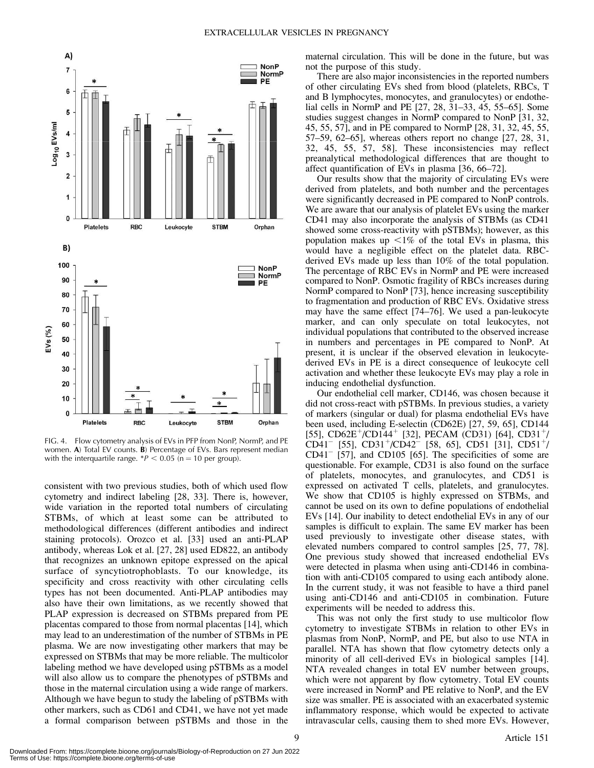

FIG. 4. Flow cytometry analysis of EVs in PFP from NonP, NormP, and PE women. A) Total EV counts. B) Percentage of EVs. Bars represent median with the interquartile range.  $*P < 0.05$  (n = 10 per group).

consistent with two previous studies, both of which used flow cytometry and indirect labeling [28, 33]. There is, however, wide variation in the reported total numbers of circulating STBMs, of which at least some can be attributed to methodological differences (different antibodies and indirect staining protocols). Orozco et al. [33] used an anti-PLAP antibody, whereas Lok et al. [27, 28] used ED822, an antibody that recognizes an unknown epitope expressed on the apical surface of syncytiotrophoblasts. To our knowledge, its specificity and cross reactivity with other circulating cells types has not been documented. Anti-PLAP antibodies may also have their own limitations, as we recently showed that PLAP expression is decreased on STBMs prepared from PE placentas compared to those from normal placentas [14], which may lead to an underestimation of the number of STBMs in PE plasma. We are now investigating other markers that may be expressed on STBMs that may be more reliable. The multicolor labeling method we have developed using pSTBMs as a model will also allow us to compare the phenotypes of pSTBMs and those in the maternal circulation using a wide range of markers. Although we have begun to study the labeling of pSTBMs with other markers, such as CD61 and CD41, we have not yet made a formal comparison between pSTBMs and those in the maternal circulation. This will be done in the future, but was not the purpose of this study.

There are also major inconsistencies in the reported numbers of other circulating EVs shed from blood (platelets, RBCs, T and B lymphocytes, monocytes, and granulocytes) or endothelial cells in NormP and PE [27, 28, 31–33, 45, 55–65]. Some studies suggest changes in NormP compared to NonP [31, 32, 45, 55, 57], and in PE compared to NormP [28, 31, 32, 45, 55, 57–59, 62–65], whereas others report no change [27, 28, 31, 32, 45, 55, 57, 58]. These inconsistencies may reflect preanalytical methodological differences that are thought to affect quantification of EVs in plasma [36, 66–72].

Our results show that the majority of circulating EVs were derived from platelets, and both number and the percentages were significantly decreased in PE compared to NonP controls. We are aware that our analysis of platelet EVs using the marker CD41 may also incorporate the analysis of STBMs (as CD41 showed some cross-reactivity with pSTBMs); however, as this population makes up  $\leq 1\%$  of the total EVs in plasma, this would have a negligible effect on the platelet data. RBCderived EVs made up less than 10% of the total population. The percentage of RBC EVs in NormP and PE were increased compared to NonP. Osmotic fragility of RBCs increases during NormP compared to NonP [73], hence increasing susceptibility to fragmentation and production of RBC EVs. Oxidative stress may have the same effect [74–76]. We used a pan-leukocyte marker, and can only speculate on total leukocytes, not individual populations that contributed to the observed increase in numbers and percentages in PE compared to NonP. At present, it is unclear if the observed elevation in leukocytederived EVs in PE is a direct consequence of leukocyte cell activation and whether these leukocyte EVs may play a role in inducing endothelial dysfunction.

Our endothelial cell marker, CD146, was chosen because it did not cross-react with pSTBMs. In previous studies, a variety of markers (singular or dual) for plasma endothelial EVs have been used, including E-selectin (CD62E) [27, 59, 65], CD144 [55], CD62E<sup>+</sup>/CD144<sup>+</sup> [32], PECAM (CD31) [64], CD31<sup>+</sup>/  $CD41^-$  [55],  $CD31^+/CD42^-$  [58, 65],  $CD51$  [31],  $CD51^+/$  $CD41^-$  [57], and  $CD105$  [65]. The specificities of some are questionable. For example, CD31 is also found on the surface of platelets, monocytes, and granulocytes, and CD51 is expressed on activated T cells, platelets, and granulocytes. We show that CD105 is highly expressed on STBMs, and cannot be used on its own to define populations of endothelial EVs [14]. Our inability to detect endothelial EVs in any of our samples is difficult to explain. The same EV marker has been used previously to investigate other disease states, with elevated numbers compared to control samples [25, 77, 78]. One previous study showed that increased endothelial EVs were detected in plasma when using anti-CD146 in combination with anti-CD105 compared to using each antibody alone. In the current study, it was not feasible to have a third panel using anti-CD146 and anti-CD105 in combination. Future experiments will be needed to address this.

This was not only the first study to use multicolor flow cytometry to investigate STBMs in relation to other EVs in plasmas from NonP, NormP, and PE, but also to use NTA in parallel. NTA has shown that flow cytometry detects only a minority of all cell-derived EVs in biological samples [14]. NTA revealed changes in total EV number between groups, which were not apparent by flow cytometry. Total EV counts were increased in NormP and PE relative to NonP, and the EV size was smaller. PE is associated with an exacerbated systemic inflammatory response, which would be expected to activate intravascular cells, causing them to shed more EVs. However,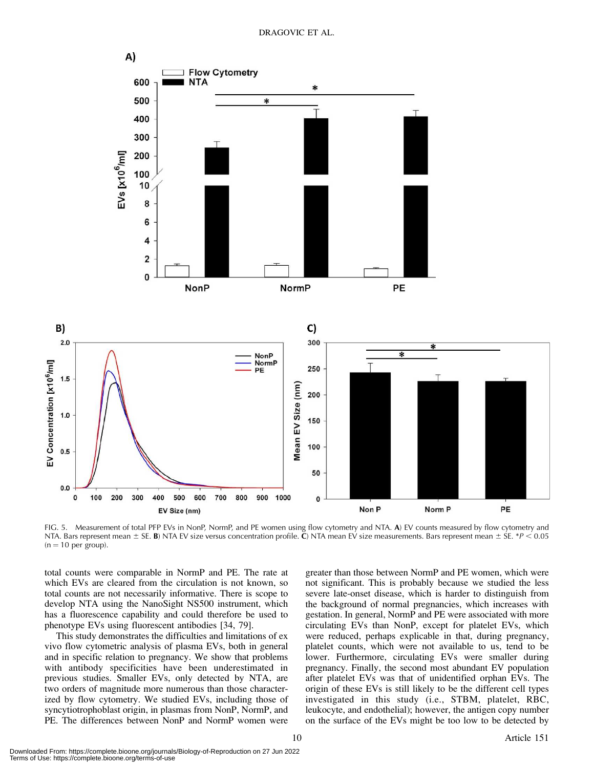

FIG. 5. Measurement of total PFP EVs in NonP, NormP, and PE women using flow cytometry and NTA. A) EV counts measured by flow cytometry and NTA. Bars represent mean  $\pm$  SE. B) NTA EV size versus concentration profile. C) NTA mean EV size measurements. Bars represent mean  $\pm$  SE. \*P < 0.05  $(n = 10$  per group).

total counts were comparable in NormP and PE. The rate at which EVs are cleared from the circulation is not known, so total counts are not necessarily informative. There is scope to develop NTA using the NanoSight NS500 instrument, which has a fluorescence capability and could therefore be used to phenotype EVs using fluorescent antibodies [34, 79].

This study demonstrates the difficulties and limitations of ex vivo flow cytometric analysis of plasma EVs, both in general and in specific relation to pregnancy. We show that problems with antibody specificities have been underestimated in previous studies. Smaller EVs, only detected by NTA, are two orders of magnitude more numerous than those characterized by flow cytometry. We studied EVs, including those of syncytiotrophoblast origin, in plasmas from NonP, NormP, and PE. The differences between NonP and NormP women were greater than those between NormP and PE women, which were not significant. This is probably because we studied the less severe late-onset disease, which is harder to distinguish from the background of normal pregnancies, which increases with gestation. In general, NormP and PE were associated with more circulating EVs than NonP, except for platelet EVs, which were reduced, perhaps explicable in that, during pregnancy, platelet counts, which were not available to us, tend to be lower. Furthermore, circulating EVs were smaller during pregnancy. Finally, the second most abundant EV population after platelet EVs was that of unidentified orphan EVs. The origin of these EVs is still likely to be the different cell types investigated in this study (i.e., STBM, platelet, RBC, leukocyte, and endothelial); however, the antigen copy number on the surface of the EVs might be too low to be detected by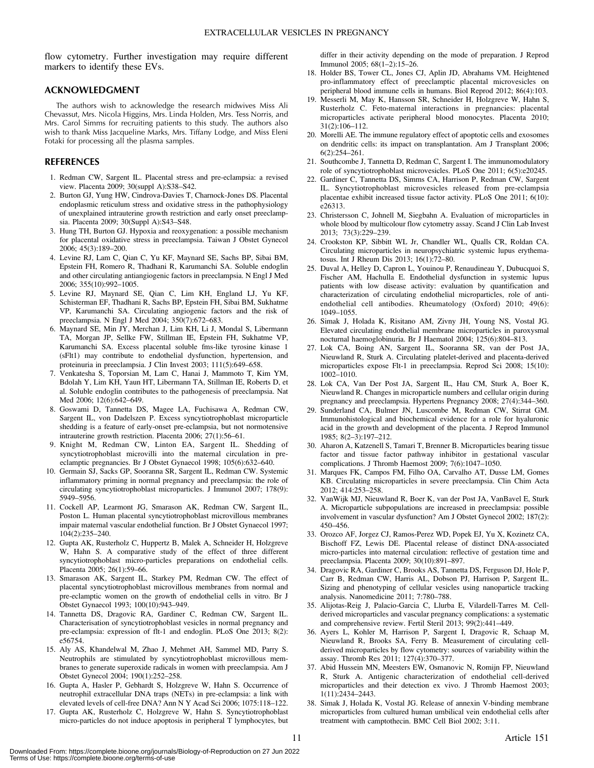flow cytometry. Further investigation may require different markers to identify these EVs.

# ACKNOWLEDGMENT

The authors wish to acknowledge the research midwives Miss Ali Chevassut, Mrs. Nicola Higgins, Mrs. Linda Holden, Mrs. Tess Norris, and Mrs. Carol Simms for recruiting patients to this study. The authors also wish to thank Miss Jacqueline Marks, Mrs. Tiffany Lodge, and Miss Eleni Fotaki for processing all the plasma samples.

# REFERENCES

- 1. Redman CW, Sargent IL. Placental stress and pre-eclampsia: a revised view. Placenta 2009; 30(suppl A):S38–S42.
- 2. Burton GJ, Yung HW, Cindrova-Davies T, Charnock-Jones DS. Placental endoplasmic reticulum stress and oxidative stress in the pathophysiology of unexplained intrauterine growth restriction and early onset preeclampsia. Placenta 2009; 30(Suppl A):S43–S48.
- 3. Hung TH, Burton GJ. Hypoxia and reoxygenation: a possible mechanism for placental oxidative stress in preeclampsia. Taiwan J Obstet Gynecol 2006; 45(3):189–200.
- 4. Levine RJ, Lam C, Qian C, Yu KF, Maynard SE, Sachs BP, Sibai BM, Epstein FH, Romero R, Thadhani R, Karumanchi SA. Soluble endoglin and other circulating antiangiogenic factors in preeclampsia. N Engl J Med 2006; 355(10):992–1005.
- 5. Levine RJ, Maynard SE, Qian C, Lim KH, England LJ, Yu KF, Schisterman EF, Thadhani R, Sachs BP, Epstein FH, Sibai BM, Sukhatme VP, Karumanchi SA. Circulating angiogenic factors and the risk of preeclampsia. N Engl J Med 2004; 350(7):672–683.
- 6. Maynard SE, Min JY, Merchan J, Lim KH, Li J, Mondal S, Libermann TA, Morgan JP, Sellke FW, Stillman IE, Epstein FH, Sukhatme VP, Karumanchi SA. Excess placental soluble fms-like tyrosine kinase 1 (sFlt1) may contribute to endothelial dysfunction, hypertension, and proteinuria in preeclampsia. J Clin Invest 2003; 111(5):649–658.
- 7. Venkatesha S, Toporsian M, Lam C, Hanai J, Mammoto T, Kim YM, Bdolah Y, Lim KH, Yaun HT, Libermann TA, Stillman IE, Roberts D, et al. Soluble endoglin contributes to the pathogenesis of preeclampsia. Nat Med 2006; 12(6):642–649.
- 8. Goswami D, Tannetta DS, Magee LA, Fuchisawa A, Redman CW, Sargent IL, von Dadelszen P. Excess syncytiotrophoblast microparticle shedding is a feature of early-onset pre-eclampsia, but not normotensive intrauterine growth restriction. Placenta 2006; 27(1):56–61.
- 9. Knight M, Redman CW, Linton EA, Sargent IL. Shedding of syncytiotrophoblast microvilli into the maternal circulation in preeclamptic pregnancies. Br J Obstet Gynaecol 1998; 105(6):632–640.
- 10. Germain SJ, Sacks GP, Sooranna SR, Sargent IL, Redman CW. Systemic inflammatory priming in normal pregnancy and preeclampsia: the role of circulating syncytiotrophoblast microparticles. J Immunol 2007; 178(9): 5949–5956.
- 11. Cockell AP, Learmont JG, Smarason AK, Redman CW, Sargent IL, Poston L. Human placental syncytiotrophoblast microvillous membranes impair maternal vascular endothelial function. Br J Obstet Gynaecol 1997; 104(2):235–240.
- 12. Gupta AK, Rusterholz C, Huppertz B, Malek A, Schneider H, Holzgreve W, Hahn S. A comparative study of the effect of three different syncytiotrophoblast micro-particles preparations on endothelial cells. Placenta 2005; 26(1):59–66.
- 13. Smarason AK, Sargent IL, Starkey PM, Redman CW. The effect of placental syncytiotrophoblast microvillous membranes from normal and pre-eclamptic women on the growth of endothelial cells in vitro. Br J Obstet Gynaecol 1993; 100(10):943–949.
- 14. Tannetta DS, Dragovic RA, Gardiner C, Redman CW, Sargent IL. Characterisation of syncytiotrophoblast vesicles in normal pregnancy and pre-eclampsia: expression of flt-1 and endoglin. PLoS One 2013; 8(2): e56754.
- 15. Aly AS, Khandelwal M, Zhao J, Mehmet AH, Sammel MD, Parry S. Neutrophils are stimulated by syncytiotrophoblast microvillous membranes to generate superoxide radicals in women with preeclampsia. Am J Obstet Gynecol 2004; 190(1):252–258.
- 16. Gupta A, Hasler P, Gebhardt S, Holzgreve W, Hahn S. Occurrence of neutrophil extracellular DNA traps (NETs) in pre-eclampsia: a link with elevated levels of cell-free DNA? Ann N Y Acad Sci 2006; 1075:118–122.
- 17. Gupta AK, Rusterholz C, Holzgreve W, Hahn S. Syncytiotrophoblast micro-particles do not induce apoptosis in peripheral T lymphocytes, but

differ in their activity depending on the mode of preparation. J Reprod Immunol 2005; 68(1–2):15–26.

- 18. Holder BS, Tower CL, Jones CJ, Aplin JD, Abrahams VM. Heightened pro-inflammatory effect of preeclamptic placental microvesicles on peripheral blood immune cells in humans. Biol Reprod 2012; 86(4):103.
- 19. Messerli M, May K, Hansson SR, Schneider H, Holzgreve W, Hahn S, Rusterholz C. Feto-maternal interactions in pregnancies: placental microparticles activate peripheral blood monocytes. Placenta 2010; 31(2):106–112.
- 20. Morelli AE. The immune regulatory effect of apoptotic cells and exosomes on dendritic cells: its impact on transplantation. Am J Transplant 2006; 6(2):254–261.
- 21. Southcombe J, Tannetta D, Redman C, Sargent I. The immunomodulatory role of syncytiotrophoblast microvesicles. PLoS One 2011; 6(5):e20245.
- 22. Gardiner C, Tannetta DS, Simms CA, Harrison P, Redman CW, Sargent IL. Syncytiotrophoblast microvesicles released from pre-eclampsia placentae exhibit increased tissue factor activity. PLoS One 2011; 6(10): e26313.
- 23. Christersson C, Johnell M, Siegbahn A. Evaluation of microparticles in whole blood by multicolour flow cytometry assay. Scand J Clin Lab Invest 2013; 73(3):229–239.
- 24. Crookston KP, Sibbitt WL Jr, Chandler WL, Qualls CR, Roldan CA. Circulating microparticles in neuropsychiatric systemic lupus erythematosus. Int J Rheum Dis 2013; 16(1):72–80.
- 25. Duval A, Helley D, Capron L, Youinou P, Renaudineau Y, Dubucquoi S, Fischer AM, Hachulla E. Endothelial dysfunction in systemic lupus patients with low disease activity: evaluation by quantification and characterization of circulating endothelial microparticles, role of antiendothelial cell antibodies. Rheumatology (Oxford) 2010; 49(6): 1049–1055.
- 26. Simak J, Holada K, Risitano AM, Zivny JH, Young NS, Vostal JG. Elevated circulating endothelial membrane microparticles in paroxysmal nocturnal haemoglobinuria. Br J Haematol 2004; 125(6):804–813.
- 27. Lok CA, Boing AN, Sargent IL, Sooranna SR, van der Post JA, Nieuwland R, Sturk A. Circulating platelet-derived and placenta-derived microparticles expose Flt-1 in preeclampsia. Reprod Sci 2008; 15(10): 1002–1010.
- 28. Lok CA, Van Der Post JA, Sargent IL, Hau CM, Sturk A, Boer K, Nieuwland R. Changes in microparticle numbers and cellular origin during pregnancy and preeclampsia. Hypertens Pregnancy 2008; 27(4):344–360.
- 29. Sunderland CA, Bulmer JN, Luscombe M, Redman CW, Stirrat GM. Immunohistological and biochemical evidence for a role for hyaluronic acid in the growth and development of the placenta. J Reprod Immunol 1985; 8(2–3):197–212.
- 30. Aharon A, Katzenell S, Tamari T, Brenner B. Microparticles bearing tissue factor and tissue factor pathway inhibitor in gestational vascular complications. J Thromb Haemost 2009; 7(6):1047–1050.
- 31. Marques FK, Campos FM, Filho OA, Carvalho AT, Dusse LM, Gomes KB. Circulating microparticles in severe preeclampsia. Clin Chim Acta 2012; 414:253–258.
- 32. VanWijk MJ, Nieuwland R, Boer K, van der Post JA, VanBavel E, Sturk A. Microparticle subpopulations are increased in preeclampsia: possible involvement in vascular dysfunction? Am J Obstet Gynecol 2002; 187(2): 450–456.
- 33. Orozco AF, Jorgez CJ, Ramos-Perez WD, Popek EJ, Yu X, Kozinetz CA, Bischoff FZ, Lewis DE. Placental release of distinct DNA-associated micro-particles into maternal circulation: reflective of gestation time and preeclampsia. Placenta 2009; 30(10):891–897.
- 34. Dragovic RA, Gardiner C, Brooks AS, Tannetta DS, Ferguson DJ, Hole P, Carr B, Redman CW, Harris AL, Dobson PJ, Harrison P, Sargent IL. Sizing and phenotyping of cellular vesicles using nanoparticle tracking analysis. Nanomedicine 2011; 7:780–788.
- 35. Alijotas-Reig J, Palacio-Garcia C, Llurba E, Vilardell-Tarres M. Cellderived microparticles and vascular pregnancy complications: a systematic and comprehensive review. Fertil Steril 2013; 99(2):441–449.
- 36. Ayers L, Kohler M, Harrison P, Sargent I, Dragovic R, Schaap M, Nieuwland R, Brooks SA, Ferry B. Measurement of circulating cellderived microparticles by flow cytometry: sources of variability within the assay. Thromb Res 2011; 127(4):370–377.
- 37. Abid Hussein MN, Meesters EW, Osmanovic N, Romijn FP, Nieuwland R, Sturk A. Antigenic characterization of endothelial cell-derived microparticles and their detection ex vivo. J Thromb Haemost 2003; 1(11):2434–2443.
- 38. Simak J, Holada K, Vostal JG. Release of annexin V-binding membrane microparticles from cultured human umbilical vein endothelial cells after treatment with camptothecin. BMC Cell Biol 2002; 3:11.